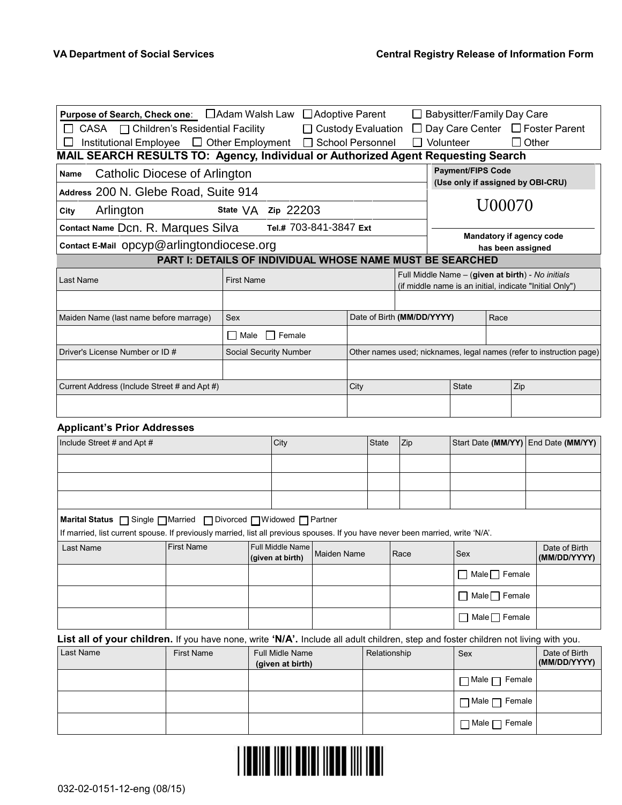| Purpose of Search, Check one: □ Adam Walsh Law<br>Institutional Employee □ Other Employment □ School Personnel<br>$\Box$            |                                                           |                    |                                     | □ Adoptive Parent<br>$\Box$ Custody Evaluation |      |              | $\Box$                     | $\Box$ Volunteer | $\Box$ Babysitter/Family Day Care |                           | $\Box$ Other | Day Care Center $\Box$ Foster Parent                                                                         |
|-------------------------------------------------------------------------------------------------------------------------------------|-----------------------------------------------------------|--------------------|-------------------------------------|------------------------------------------------|------|--------------|----------------------------|------------------|-----------------------------------|---------------------------|--------------|--------------------------------------------------------------------------------------------------------------|
| MAIL SEARCH RESULTS TO: Agency, Individual or Authorized Agent Requesting Search                                                    |                                                           |                    |                                     |                                                |      |              |                            |                  |                                   |                           |              |                                                                                                              |
| Catholic Diocese of Arlington<br>Name                                                                                               |                                                           |                    |                                     |                                                |      |              |                            |                  | <b>Payment/FIPS Code</b>          |                           |              |                                                                                                              |
| Address 200 N. Glebe Road, Suite 914                                                                                                |                                                           |                    |                                     |                                                |      |              |                            |                  |                                   |                           |              | (Use only if assigned by OBI-CRU)                                                                            |
|                                                                                                                                     |                                                           |                    |                                     |                                                |      |              |                            |                  |                                   | U00070                    |              |                                                                                                              |
| Arlington<br>City                                                                                                                   |                                                           | State VA Zip 22203 |                                     |                                                |      |              |                            |                  |                                   |                           |              |                                                                                                              |
| Contact Name Dcn. R. Marques Silva                                                                                                  |                                                           |                    | Tel.# 703-841-3847 Ext              |                                                |      |              |                            |                  |                                   |                           |              | <b>Mandatory if agency code</b>                                                                              |
| Contact E-Mail opcyp@arlingtondiocese.org                                                                                           |                                                           |                    |                                     |                                                |      |              |                            |                  |                                   | has been assigned         |              |                                                                                                              |
|                                                                                                                                     | PART I: DETAILS OF INDIVIDUAL WHOSE NAME MUST BE SEARCHED |                    |                                     |                                                |      |              |                            |                  |                                   |                           |              |                                                                                                              |
| Last Name                                                                                                                           |                                                           | <b>First Name</b>  |                                     |                                                |      |              |                            |                  |                                   |                           |              | Full Middle Name - (given at birth) - No initials<br>(if middle name is an initial, indicate "Initial Only") |
|                                                                                                                                     |                                                           |                    |                                     |                                                |      |              |                            |                  |                                   |                           |              |                                                                                                              |
|                                                                                                                                     |                                                           |                    |                                     |                                                |      |              |                            |                  |                                   | Race                      |              |                                                                                                              |
| Maiden Name (last name before marrage)                                                                                              |                                                           | Sex                |                                     |                                                |      |              | Date of Birth (MM/DD/YYYY) |                  |                                   |                           |              |                                                                                                              |
|                                                                                                                                     |                                                           | Male               | $\Box$ Female                       |                                                |      |              |                            |                  |                                   |                           |              |                                                                                                              |
| Driver's License Number or ID #                                                                                                     |                                                           |                    | Social Security Number              |                                                |      |              |                            |                  |                                   |                           |              | Other names used; nicknames, legal names (refer to instruction page)                                         |
|                                                                                                                                     |                                                           |                    |                                     |                                                |      |              |                            |                  |                                   |                           |              |                                                                                                              |
| Current Address (Include Street # and Apt #)                                                                                        |                                                           |                    |                                     |                                                | City |              |                            |                  | <b>State</b>                      |                           | Zip          |                                                                                                              |
|                                                                                                                                     |                                                           |                    |                                     |                                                |      |              |                            |                  |                                   |                           |              |                                                                                                              |
|                                                                                                                                     |                                                           |                    |                                     |                                                |      |              |                            |                  |                                   |                           |              |                                                                                                              |
| <b>Applicant's Prior Addresses</b>                                                                                                  |                                                           |                    |                                     |                                                |      |              |                            |                  |                                   |                           |              |                                                                                                              |
| Include Street # and Apt #                                                                                                          |                                                           |                    | City                                |                                                |      | <b>State</b> | Zip                        |                  |                                   |                           |              | Start Date (MM/YY) End Date (MM/YY)                                                                          |
|                                                                                                                                     |                                                           |                    |                                     |                                                |      |              |                            |                  |                                   |                           |              |                                                                                                              |
|                                                                                                                                     |                                                           |                    |                                     |                                                |      |              |                            |                  |                                   |                           |              |                                                                                                              |
|                                                                                                                                     |                                                           |                    |                                     |                                                |      |              |                            |                  |                                   |                           |              |                                                                                                              |
| Marital Status □ Single □ Married □ Divorced □ Widowed □ Partner                                                                    |                                                           |                    |                                     |                                                |      |              |                            |                  |                                   |                           |              |                                                                                                              |
| If married, list current spouse. If previously married, list all previous spouses. If you have never been married, write 'N/A'.     |                                                           |                    |                                     |                                                |      |              |                            |                  |                                   |                           |              |                                                                                                              |
| Last Name                                                                                                                           | <b>First Name</b>                                         |                    | Full Middle Name                    |                                                |      |              |                            |                  |                                   |                           |              | Date of Birth                                                                                                |
|                                                                                                                                     |                                                           |                    | (given at birth)                    | <b>Maiden Name</b>                             |      |              | Race                       |                  | Sex                               |                           |              | (MM/DD/YYYY)                                                                                                 |
|                                                                                                                                     |                                                           |                    |                                     |                                                |      |              |                            |                  | $\Box$ Male $\Box$ Female         |                           |              |                                                                                                              |
|                                                                                                                                     |                                                           |                    |                                     |                                                |      |              |                            |                  | $\Box$ Male $\Box$ Female         |                           |              |                                                                                                              |
|                                                                                                                                     |                                                           |                    |                                     |                                                |      |              |                            |                  |                                   |                           |              |                                                                                                              |
|                                                                                                                                     |                                                           |                    |                                     |                                                |      |              |                            |                  | $\Box$ Male $\Box$ Female         |                           |              |                                                                                                              |
| List all of your children. If you have none, write 'N/A'. Include all adult children, step and foster children not living with you. |                                                           |                    |                                     |                                                |      |              |                            |                  |                                   |                           |              |                                                                                                              |
| Last Name                                                                                                                           | <b>First Name</b>                                         |                    | Full Midle Name<br>(given at birth) |                                                |      | Relationship |                            |                  | Sex                               |                           |              | Date of Birth<br>(MM/DD/YYYY)                                                                                |
|                                                                                                                                     |                                                           |                    |                                     |                                                |      |              |                            |                  | $\Box$ Male $\Box$ Female         |                           |              |                                                                                                              |
|                                                                                                                                     |                                                           |                    |                                     |                                                |      |              |                            |                  | $\Box$ Male $\Box$ Female         |                           |              |                                                                                                              |
|                                                                                                                                     |                                                           |                    |                                     |                                                |      |              |                            |                  |                                   | $\Box$ Male $\Box$ Female |              |                                                                                                              |